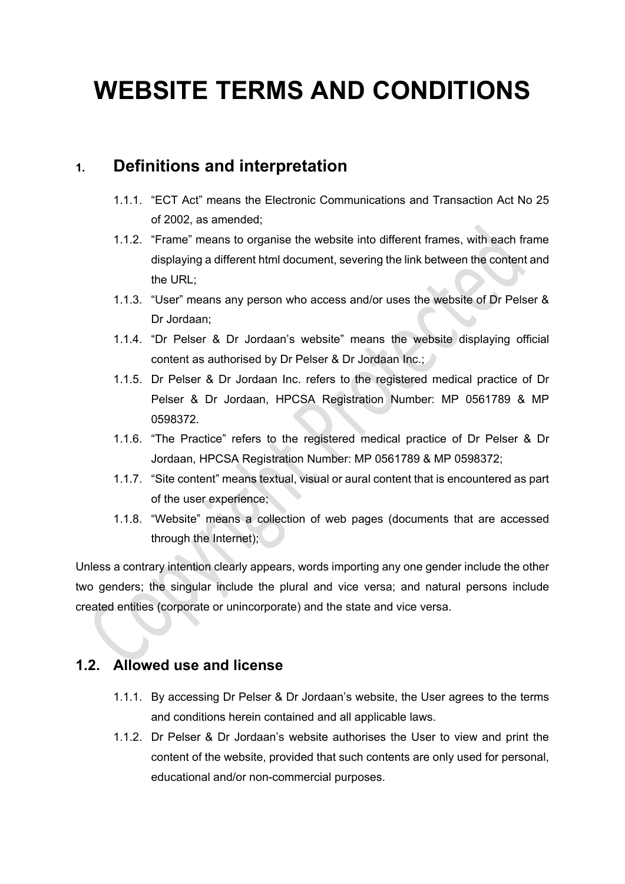# **WEBSITE TERMS AND CONDITIONS**

### **1. Definitions and interpretation**

- 1.1.1. "ECT Act" means the Electronic Communications and Transaction Act No 25 of 2002, as amended;
- 1.1.2. "Frame" means to organise the website into different frames, with each frame displaying a different html document, severing the link between the content and the URL;
- 1.1.3. "User" means any person who access and/or uses the website of Dr Pelser & Dr Jordaan;
- 1.1.4. "Dr Pelser & Dr Jordaan's website" means the website displaying official content as authorised by Dr Pelser & Dr Jordaan Inc.;
- 1.1.5. Dr Pelser & Dr Jordaan Inc. refers to the registered medical practice of Dr Pelser & Dr Jordaan, HPCSA Registration Number: MP 0561789 & MP 0598372.
- 1.1.6. "The Practice" refers to the registered medical practice of Dr Pelser & Dr Jordaan, HPCSA Registration Number: MP 0561789 & MP 0598372;
- 1.1.7. "Site content" means textual, visual or aural content that is encountered as part of the user experience;
- 1.1.8. "Website" means a collection of web pages (documents that are accessed through the Internet);

Unless a contrary intention clearly appears, words importing any one gender include the other two genders; the singular include the plural and vice versa; and natural persons include created entities (corporate or unincorporate) and the state and vice versa.

#### **1.2. Allowed use and license**

- 1.1.1. By accessing Dr Pelser & Dr Jordaan's website, the User agrees to the terms and conditions herein contained and all applicable laws.
- 1.1.2. Dr Pelser & Dr Jordaan's website authorises the User to view and print the content of the website, provided that such contents are only used for personal, educational and/or non-commercial purposes.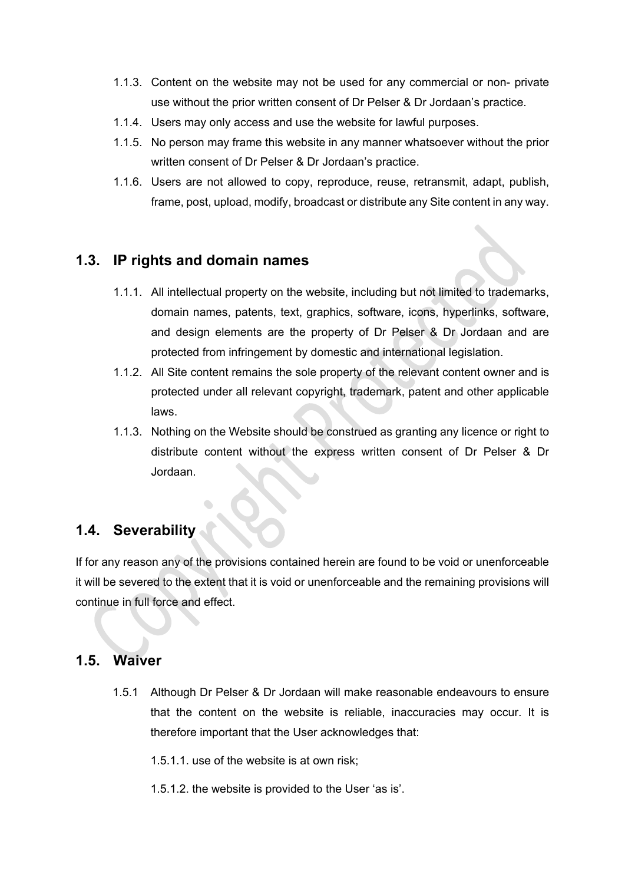- 1.1.3. Content on the website may not be used for any commercial or non- private use without the prior written consent of Dr Pelser & Dr Jordaan's practice.
- 1.1.4. Users may only access and use the website for lawful purposes.
- 1.1.5. No person may frame this website in any manner whatsoever without the prior written consent of Dr Pelser & Dr Jordaan's practice.
- 1.1.6. Users are not allowed to copy, reproduce, reuse, retransmit, adapt, publish, frame, post, upload, modify, broadcast or distribute any Site content in any way.

#### **1.3. IP rights and domain names**

- 1.1.1. All intellectual property on the website, including but not limited to trademarks, domain names, patents, text, graphics, software, icons, hyperlinks, software, and design elements are the property of Dr Pelser & Dr Jordaan and are protected from infringement by domestic and international legislation.
- 1.1.2. All Site content remains the sole property of the relevant content owner and is protected under all relevant copyright, trademark, patent and other applicable laws.
- 1.1.3. Nothing on the Website should be construed as granting any licence or right to distribute content without the express written consent of Dr Pelser & Dr Jordaan.

#### **1.4. Severability**

If for any reason any of the provisions contained herein are found to be void or unenforceable it will be severed to the extent that it is void or unenforceable and the remaining provisions will continue in full force and effect.

#### **1.5. Waiver**

1.5.1 Although Dr Pelser & Dr Jordaan will make reasonable endeavours to ensure that the content on the website is reliable, inaccuracies may occur. It is therefore important that the User acknowledges that:

1.5.1.1. use of the website is at own risk;

1.5.1.2. the website is provided to the User 'as is'.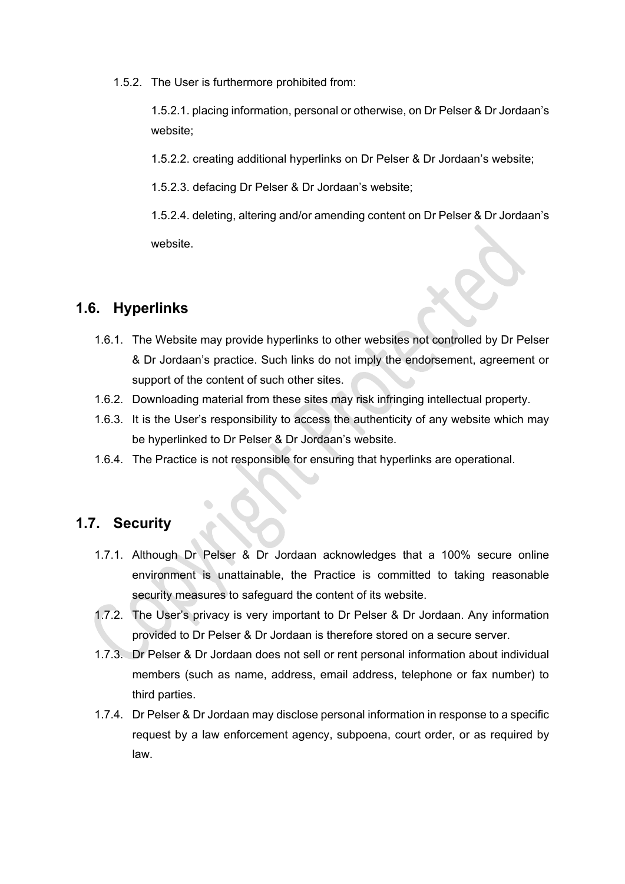1.5.2. The User is furthermore prohibited from:

1.5.2.1. placing information, personal or otherwise, on Dr Pelser & Dr Jordaan's website;

1.5.2.2. creating additional hyperlinks on Dr Pelser & Dr Jordaan's website;

1.5.2.3. defacing Dr Pelser & Dr Jordaan's website;

1.5.2.4. deleting, altering and/or amending content on Dr Pelser & Dr Jordaan's website.

#### **1.6. Hyperlinks**

- 1.6.1. The Website may provide hyperlinks to other websites not controlled by Dr Pelser & Dr Jordaan's practice. Such links do not imply the endorsement, agreement or support of the content of such other sites.
- 1.6.2. Downloading material from these sites may risk infringing intellectual property.
- 1.6.3. It is the User's responsibility to access the authenticity of any website which may be hyperlinked to Dr Pelser & Dr Jordaan's website.
- 1.6.4. The Practice is not responsible for ensuring that hyperlinks are operational.

#### **1.7. Security**

- 1.7.1. Although Dr Pelser & Dr Jordaan acknowledges that a 100% secure online environment is unattainable, the Practice is committed to taking reasonable security measures to safeguard the content of its website.
- 1.7.2. The User's privacy is very important to Dr Pelser & Dr Jordaan. Any information provided to Dr Pelser & Dr Jordaan is therefore stored on a secure server.
- 1.7.3. Dr Pelser & Dr Jordaan does not sell or rent personal information about individual members (such as name, address, email address, telephone or fax number) to third parties.
- 1.7.4. Dr Pelser & Dr Jordaan may disclose personal information in response to a specific request by a law enforcement agency, subpoena, court order, or as required by law.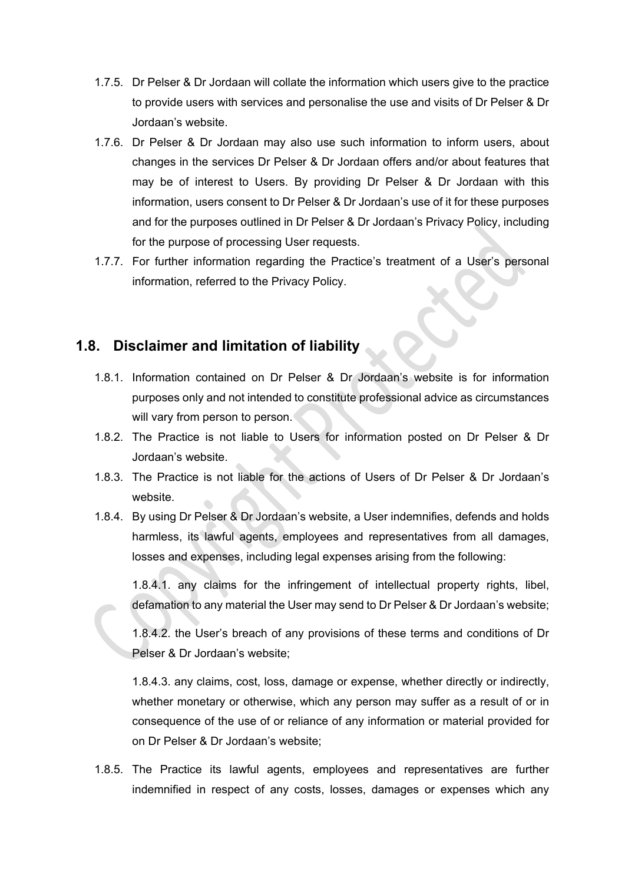- 1.7.5. Dr Pelser & Dr Jordaan will collate the information which users give to the practice to provide users with services and personalise the use and visits of Dr Pelser & Dr Jordaan's website.
- 1.7.6. Dr Pelser & Dr Jordaan may also use such information to inform users, about changes in the services Dr Pelser & Dr Jordaan offers and/or about features that may be of interest to Users. By providing Dr Pelser & Dr Jordaan with this information, users consent to Dr Pelser & Dr Jordaan's use of it for these purposes and for the purposes outlined in Dr Pelser & Dr Jordaan's Privacy Policy, including for the purpose of processing User requests.
- 1.7.7. For further information regarding the Practice's treatment of a User's personal information, referred to the Privacy Policy.

#### **1.8. Disclaimer and limitation of liability**

- 1.8.1. Information contained on Dr Pelser & Dr Jordaan's website is for information purposes only and not intended to constitute professional advice as circumstances will vary from person to person.
- 1.8.2. The Practice is not liable to Users for information posted on Dr Pelser & Dr Jordaan's website.
- 1.8.3. The Practice is not liable for the actions of Users of Dr Pelser & Dr Jordaan's website.
- 1.8.4. By using Dr Pelser & Dr Jordaan's website, a User indemnifies, defends and holds harmless, its lawful agents, employees and representatives from all damages, losses and expenses, including legal expenses arising from the following:

1.8.4.1. any claims for the infringement of intellectual property rights, libel, defamation to any material the User may send to Dr Pelser & Dr Jordaan's website;

1.8.4.2. the User's breach of any provisions of these terms and conditions of Dr Pelser & Dr Jordaan's website;

1.8.4.3. any claims, cost, loss, damage or expense, whether directly or indirectly, whether monetary or otherwise, which any person may suffer as a result of or in consequence of the use of or reliance of any information or material provided for on Dr Pelser & Dr Jordaan's website;

1.8.5. The Practice its lawful agents, employees and representatives are further indemnified in respect of any costs, losses, damages or expenses which any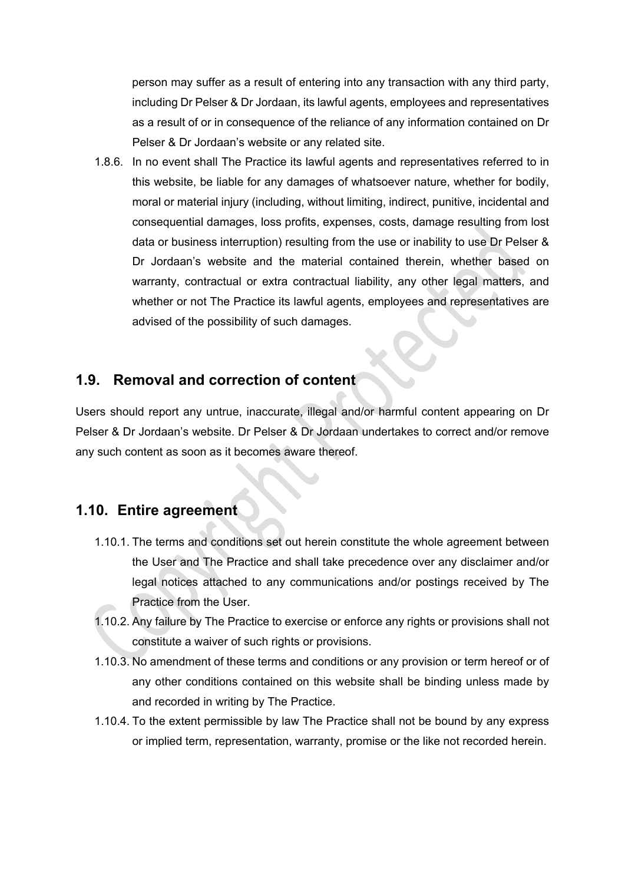person may suffer as a result of entering into any transaction with any third party, including Dr Pelser & Dr Jordaan, its lawful agents, employees and representatives as a result of or in consequence of the reliance of any information contained on Dr Pelser & Dr Jordaan's website or any related site.

1.8.6. In no event shall The Practice its lawful agents and representatives referred to in this website, be liable for any damages of whatsoever nature, whether for bodily, moral or material injury (including, without limiting, indirect, punitive, incidental and consequential damages, loss profits, expenses, costs, damage resulting from lost data or business interruption) resulting from the use or inability to use Dr Pelser & Dr Jordaan's website and the material contained therein, whether based on warranty, contractual or extra contractual liability, any other legal matters, and whether or not The Practice its lawful agents, employees and representatives are advised of the possibility of such damages.

#### **1.9. Removal and correction of content**

Users should report any untrue, inaccurate, illegal and/or harmful content appearing on Dr Pelser & Dr Jordaan's website. Dr Pelser & Dr Jordaan undertakes to correct and/or remove any such content as soon as it becomes aware thereof.

#### **1.10. Entire agreement**

- 1.10.1. The terms and conditions set out herein constitute the whole agreement between the User and The Practice and shall take precedence over any disclaimer and/or legal notices attached to any communications and/or postings received by The Practice from the User.
- 1.10.2. Any failure by The Practice to exercise or enforce any rights or provisions shall not constitute a waiver of such rights or provisions.
- 1.10.3. No amendment of these terms and conditions or any provision or term hereof or of any other conditions contained on this website shall be binding unless made by and recorded in writing by The Practice.
- 1.10.4. To the extent permissible by law The Practice shall not be bound by any express or implied term, representation, warranty, promise or the like not recorded herein.